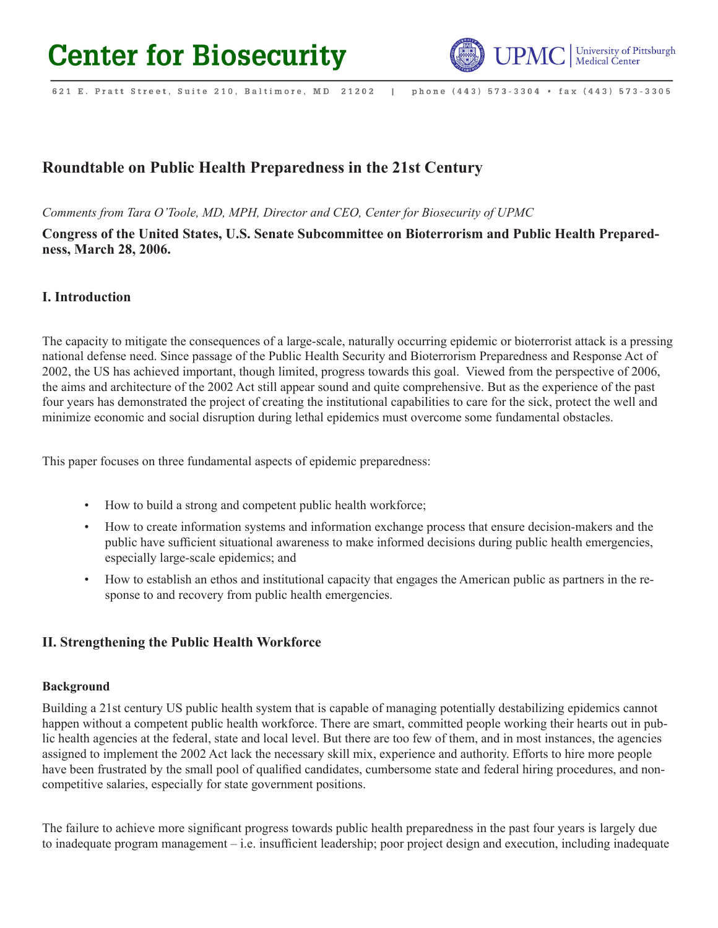# **Center for Biosecurity**



621 E. Pratt Street, Suite 210, Baltimore, MD 21202 phone (443) 573-3304 · fax (443) 573-3305  $\blacksquare$ 

# **Roundtable on Public Health Preparedness in the 21st Century**

*Comments from Tara O'Toole, MD, MPH, Director and CEO, Center for Biosecurity of UPMC*

**Congress of the United States, U.S. Senate Subcommittee on Bioterrorism and Public Health Preparedness, March 28, 2006.**

## **I. Introduction**

The capacity to mitigate the consequences of a large-scale, naturally occurring epidemic or bioterrorist attack is a pressing national defense need. Since passage of the Public Health Security and Bioterrorism Preparedness and Response Act of 2002, the US has achieved important, though limited, progress towards this goal. Viewed from the perspective of 2006, the aims and architecture of the 2002 Act still appear sound and quite comprehensive. But as the experience of the past four years has demonstrated the project of creating the institutional capabilities to care for the sick, protect the well and minimize economic and social disruption during lethal epidemics must overcome some fundamental obstacles.

This paper focuses on three fundamental aspects of epidemic preparedness:

- How to build a strong and competent public health workforce;
- How to create information systems and information exchange process that ensure decision-makers and the public have sufficient situational awareness to make informed decisions during public health emergencies, especially large-scale epidemics; and
- How to establish an ethos and institutional capacity that engages the American public as partners in the response to and recovery from public health emergencies.

## **II. Strengthening the Public Health Workforce**

#### **Background**

Building a 21st century US public health system that is capable of managing potentially destabilizing epidemics cannot happen without a competent public health workforce. There are smart, committed people working their hearts out in public health agencies at the federal, state and local level. But there are too few of them, and in most instances, the agencies assigned to implement the 2002 Act lack the necessary skill mix, experience and authority. Efforts to hire more people have been frustrated by the small pool of qualified candidates, cumbersome state and federal hiring procedures, and noncompetitive salaries, especially for state government positions.

The failure to achieve more significant progress towards public health preparedness in the past four years is largely due to inadequate program management – i.e. insufficient leadership; poor project design and execution, including inadequate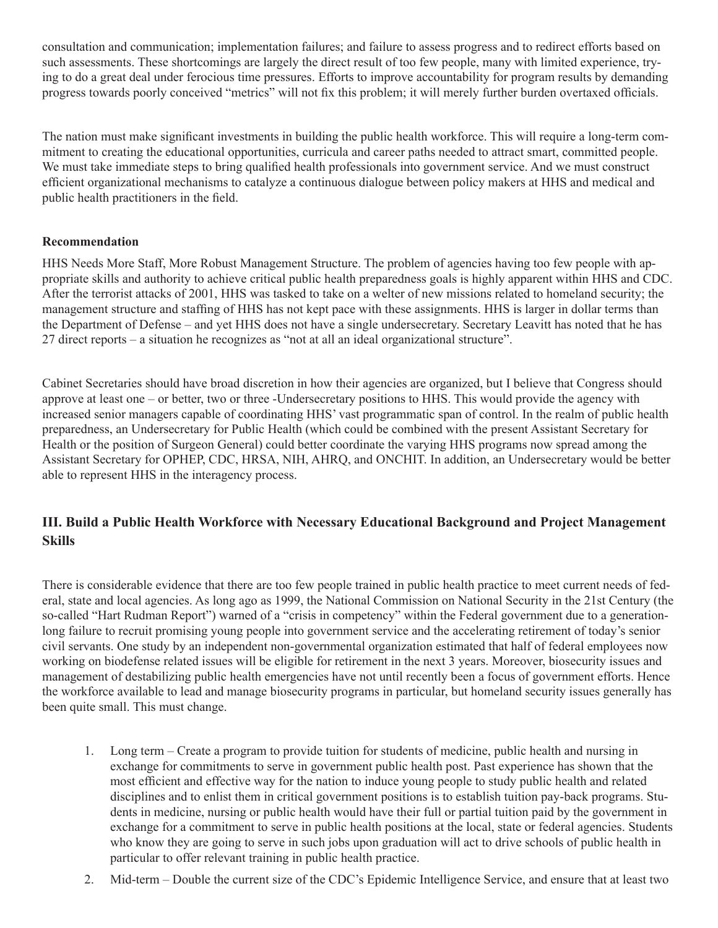consultation and communication; implementation failures; and failure to assess progress and to redirect efforts based on such assessments. These shortcomings are largely the direct result of too few people, many with limited experience, trying to do a great deal under ferocious time pressures. Efforts to improve accountability for program results by demanding progress towards poorly conceived "metrics" will not fix this problem; it will merely further burden overtaxed officials.

The nation must make significant investments in building the public health workforce. This will require a long-term commitment to creating the educational opportunities, curricula and career paths needed to attract smart, committed people. We must take immediate steps to bring qualified health professionals into government service. And we must construct efficient organizational mechanisms to catalyze a continuous dialogue between policy makers at HHS and medical and public health practitioners in the field.

## **Recommendation**

HHS Needs More Staff, More Robust Management Structure. The problem of agencies having too few people with appropriate skills and authority to achieve critical public health preparedness goals is highly apparent within HHS and CDC. After the terrorist attacks of 2001, HHS was tasked to take on a welter of new missions related to homeland security; the management structure and staffing of HHS has not kept pace with these assignments. HHS is larger in dollar terms than the Department of Defense – and yet HHS does not have a single undersecretary. Secretary Leavitt has noted that he has 27 direct reports – a situation he recognizes as "not at all an ideal organizational structure".

Cabinet Secretaries should have broad discretion in how their agencies are organized, but I believe that Congress should approve at least one – or better, two or three -Undersecretary positions to HHS. This would provide the agency with increased senior managers capable of coordinating HHS' vast programmatic span of control. In the realm of public health preparedness, an Undersecretary for Public Health (which could be combined with the present Assistant Secretary for Health or the position of Surgeon General) could better coordinate the varying HHS programs now spread among the Assistant Secretary for OPHEP, CDC, HRSA, NIH, AHRQ, and ONCHIT. In addition, an Undersecretary would be better able to represent HHS in the interagency process.

# **III. Build a Public Health Workforce with Necessary Educational Background and Project Management Skills**

There is considerable evidence that there are too few people trained in public health practice to meet current needs of federal, state and local agencies. As long ago as 1999, the National Commission on National Security in the 21st Century (the so-called "Hart Rudman Report") warned of a "crisis in competency" within the Federal government due to a generationlong failure to recruit promising young people into government service and the accelerating retirement of today's senior civil servants. One study by an independent non-governmental organization estimated that half of federal employees now working on biodefense related issues will be eligible for retirement in the next 3 years. Moreover, biosecurity issues and management of destabilizing public health emergencies have not until recently been a focus of government efforts. Hence the workforce available to lead and manage biosecurity programs in particular, but homeland security issues generally has been quite small. This must change.

- 1. Long term Create a program to provide tuition for students of medicine, public health and nursing in exchange for commitments to serve in government public health post. Past experience has shown that the most efficient and effective way for the nation to induce young people to study public health and related disciplines and to enlist them in critical government positions is to establish tuition pay-back programs. Students in medicine, nursing or public health would have their full or partial tuition paid by the government in exchange for a commitment to serve in public health positions at the local, state or federal agencies. Students who know they are going to serve in such jobs upon graduation will act to drive schools of public health in particular to offer relevant training in public health practice.
- 2. Mid-term Double the current size of the CDC's Epidemic Intelligence Service, and ensure that at least two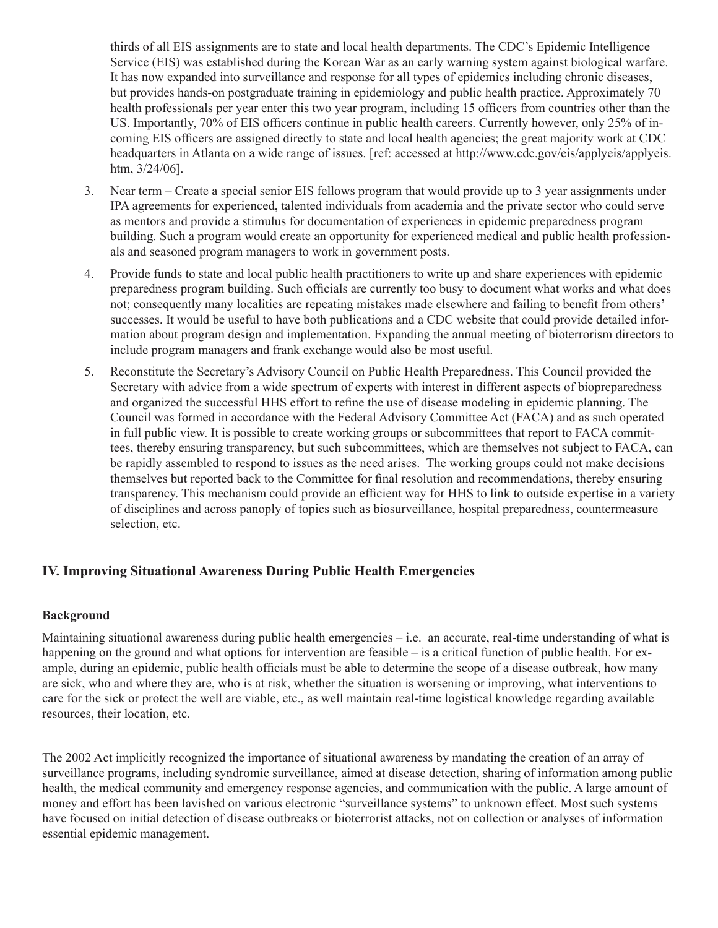thirds of all EIS assignments are to state and local health departments. The CDC's Epidemic Intelligence Service (EIS) was established during the Korean War as an early warning system against biological warfare. It has now expanded into surveillance and response for all types of epidemics including chronic diseases, but provides hands-on postgraduate training in epidemiology and public health practice. Approximately 70 health professionals per year enter this two year program, including 15 officers from countries other than the US. Importantly, 70% of EIS officers continue in public health careers. Currently however, only 25% of incoming EIS officers are assigned directly to state and local health agencies; the great majority work at CDC headquarters in Atlanta on a wide range of issues. [ref: accessed at http://www.cdc.gov/eis/applyeis/applyeis. htm, 3/24/06].

- 3. Near term Create a special senior EIS fellows program that would provide up to 3 year assignments under IPA agreements for experienced, talented individuals from academia and the private sector who could serve as mentors and provide a stimulus for documentation of experiences in epidemic preparedness program building. Such a program would create an opportunity for experienced medical and public health professionals and seasoned program managers to work in government posts.
- 4. Provide funds to state and local public health practitioners to write up and share experiences with epidemic preparedness program building. Such officials are currently too busy to document what works and what does not; consequently many localities are repeating mistakes made elsewhere and failing to benefit from others' successes. It would be useful to have both publications and a CDC website that could provide detailed information about program design and implementation. Expanding the annual meeting of bioterrorism directors to include program managers and frank exchange would also be most useful.
- 5. Reconstitute the Secretary's Advisory Council on Public Health Preparedness. This Council provided the Secretary with advice from a wide spectrum of experts with interest in different aspects of biopreparedness and organized the successful HHS effort to refine the use of disease modeling in epidemic planning. The Council was formed in accordance with the Federal Advisory Committee Act (FACA) and as such operated in full public view. It is possible to create working groups or subcommittees that report to FACA committees, thereby ensuring transparency, but such subcommittees, which are themselves not subject to FACA, can be rapidly assembled to respond to issues as the need arises. The working groups could not make decisions themselves but reported back to the Committee for final resolution and recommendations, thereby ensuring transparency. This mechanism could provide an efficient way for HHS to link to outside expertise in a variety of disciplines and across panoply of topics such as biosurveillance, hospital preparedness, countermeasure selection, etc.

#### **IV. Improving Situational Awareness During Public Health Emergencies**

#### **Background**

Maintaining situational awareness during public health emergencies – i.e. an accurate, real-time understanding of what is happening on the ground and what options for intervention are feasible – is a critical function of public health. For example, during an epidemic, public health officials must be able to determine the scope of a disease outbreak, how many are sick, who and where they are, who is at risk, whether the situation is worsening or improving, what interventions to care for the sick or protect the well are viable, etc., as well maintain real-time logistical knowledge regarding available resources, their location, etc.

The 2002 Act implicitly recognized the importance of situational awareness by mandating the creation of an array of surveillance programs, including syndromic surveillance, aimed at disease detection, sharing of information among public health, the medical community and emergency response agencies, and communication with the public. A large amount of money and effort has been lavished on various electronic "surveillance systems" to unknown effect. Most such systems have focused on initial detection of disease outbreaks or bioterrorist attacks, not on collection or analyses of information essential epidemic management.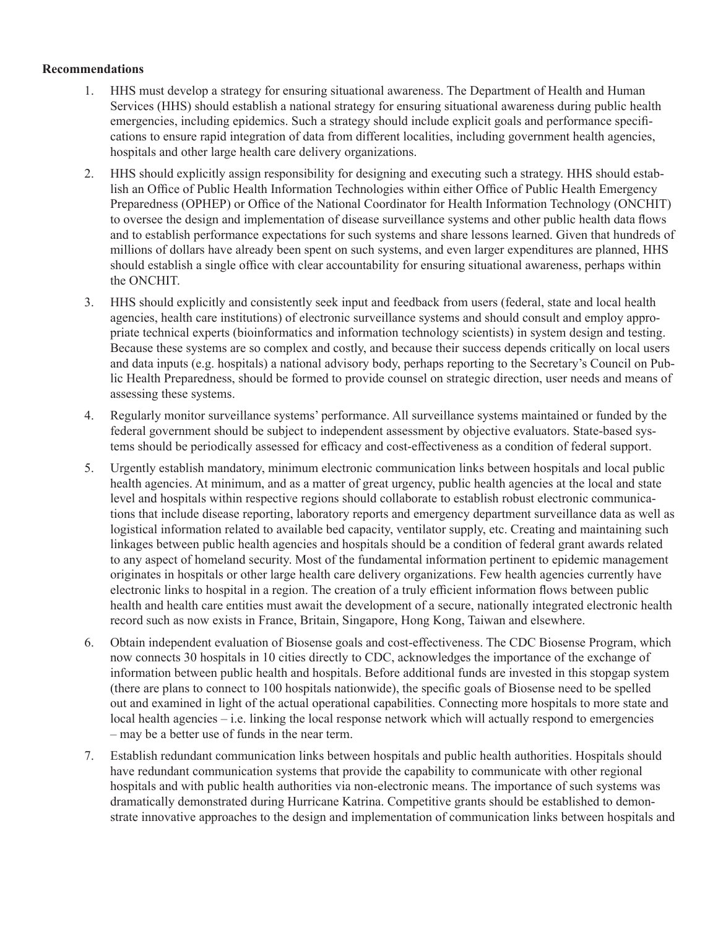#### **Recommendations**

- 1. HHS must develop a strategy for ensuring situational awareness. The Department of Health and Human Services (HHS) should establish a national strategy for ensuring situational awareness during public health emergencies, including epidemics. Such a strategy should include explicit goals and performance specifications to ensure rapid integration of data from different localities, including government health agencies, hospitals and other large health care delivery organizations.
- 2. HHS should explicitly assign responsibility for designing and executing such a strategy. HHS should establish an Office of Public Health Information Technologies within either Office of Public Health Emergency Preparedness (OPHEP) or Office of the National Coordinator for Health Information Technology (ONCHIT) to oversee the design and implementation of disease surveillance systems and other public health data flows and to establish performance expectations for such systems and share lessons learned. Given that hundreds of millions of dollars have already been spent on such systems, and even larger expenditures are planned, HHS should establish a single office with clear accountability for ensuring situational awareness, perhaps within the ONCHIT.
- 3. HHS should explicitly and consistently seek input and feedback from users (federal, state and local health agencies, health care institutions) of electronic surveillance systems and should consult and employ appropriate technical experts (bioinformatics and information technology scientists) in system design and testing. Because these systems are so complex and costly, and because their success depends critically on local users and data inputs (e.g. hospitals) a national advisory body, perhaps reporting to the Secretary's Council on Public Health Preparedness, should be formed to provide counsel on strategic direction, user needs and means of assessing these systems.
- 4. Regularly monitor surveillance systems' performance. All surveillance systems maintained or funded by the federal government should be subject to independent assessment by objective evaluators. State-based systems should be periodically assessed for efficacy and cost-effectiveness as a condition of federal support.
- 5. Urgently establish mandatory, minimum electronic communication links between hospitals and local public health agencies. At minimum, and as a matter of great urgency, public health agencies at the local and state level and hospitals within respective regions should collaborate to establish robust electronic communications that include disease reporting, laboratory reports and emergency department surveillance data as well as logistical information related to available bed capacity, ventilator supply, etc. Creating and maintaining such linkages between public health agencies and hospitals should be a condition of federal grant awards related to any aspect of homeland security. Most of the fundamental information pertinent to epidemic management originates in hospitals or other large health care delivery organizations. Few health agencies currently have electronic links to hospital in a region. The creation of a truly efficient information flows between public health and health care entities must await the development of a secure, nationally integrated electronic health record such as now exists in France, Britain, Singapore, Hong Kong, Taiwan and elsewhere.
- 6. Obtain independent evaluation of Biosense goals and cost-effectiveness. The CDC Biosense Program, which now connects 30 hospitals in 10 cities directly to CDC, acknowledges the importance of the exchange of information between public health and hospitals. Before additional funds are invested in this stopgap system (there are plans to connect to 100 hospitals nationwide), the specific goals of Biosense need to be spelled out and examined in light of the actual operational capabilities. Connecting more hospitals to more state and local health agencies – i.e. linking the local response network which will actually respond to emergencies – may be a better use of funds in the near term.
- 7. Establish redundant communication links between hospitals and public health authorities. Hospitals should have redundant communication systems that provide the capability to communicate with other regional hospitals and with public health authorities via non-electronic means. The importance of such systems was dramatically demonstrated during Hurricane Katrina. Competitive grants should be established to demonstrate innovative approaches to the design and implementation of communication links between hospitals and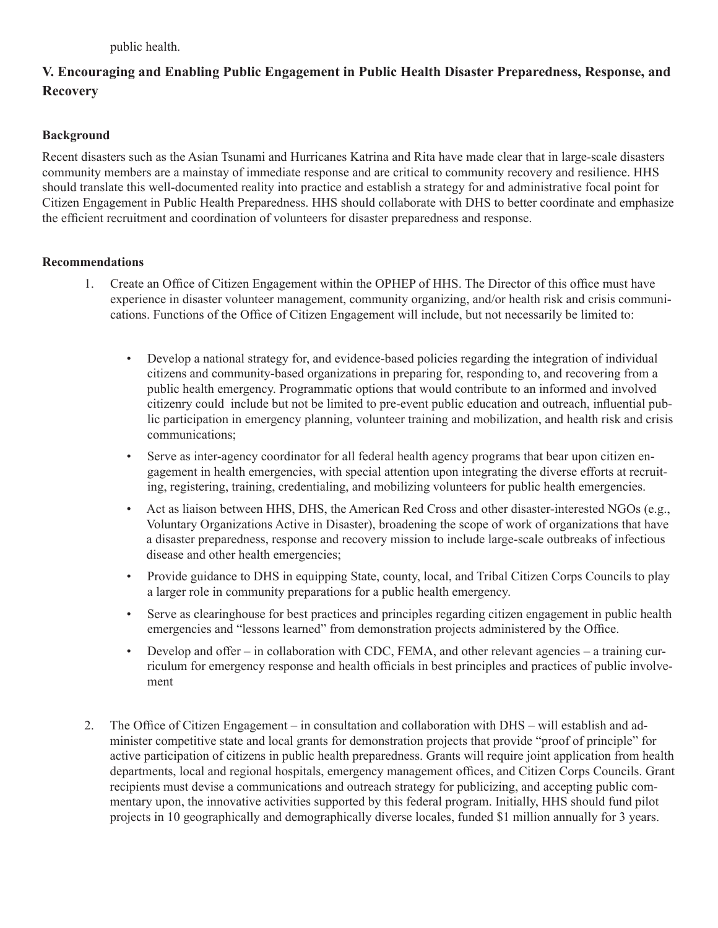# **V. Encouraging and Enabling Public Engagement in Public Health Disaster Preparedness, Response, and Recovery**

## **Background**

Recent disasters such as the Asian Tsunami and Hurricanes Katrina and Rita have made clear that in large-scale disasters community members are a mainstay of immediate response and are critical to community recovery and resilience. HHS should translate this well-documented reality into practice and establish a strategy for and administrative focal point for Citizen Engagement in Public Health Preparedness. HHS should collaborate with DHS to better coordinate and emphasize the efficient recruitment and coordination of volunteers for disaster preparedness and response.

#### **Recommendations**

- 1. Create an Office of Citizen Engagement within the OPHEP of HHS. The Director of this office must have experience in disaster volunteer management, community organizing, and/or health risk and crisis communications. Functions of the Office of Citizen Engagement will include, but not necessarily be limited to:
	- Develop a national strategy for, and evidence-based policies regarding the integration of individual citizens and community-based organizations in preparing for, responding to, and recovering from a public health emergency. Programmatic options that would contribute to an informed and involved citizenry could include but not be limited to pre-event public education and outreach, influential public participation in emergency planning, volunteer training and mobilization, and health risk and crisis communications;
	- Serve as inter-agency coordinator for all federal health agency programs that bear upon citizen engagement in health emergencies, with special attention upon integrating the diverse efforts at recruiting, registering, training, credentialing, and mobilizing volunteers for public health emergencies.
	- Act as liaison between HHS, DHS, the American Red Cross and other disaster-interested NGOs (e.g., Voluntary Organizations Active in Disaster), broadening the scope of work of organizations that have a disaster preparedness, response and recovery mission to include large-scale outbreaks of infectious disease and other health emergencies;
	- Provide guidance to DHS in equipping State, county, local, and Tribal Citizen Corps Councils to play a larger role in community preparations for a public health emergency.
	- Serve as clearinghouse for best practices and principles regarding citizen engagement in public health emergencies and "lessons learned" from demonstration projects administered by the Office.
	- Develop and offer in collaboration with CDC, FEMA, and other relevant agencies a training curriculum for emergency response and health officials in best principles and practices of public involvement
- 2. The Office of Citizen Engagement in consultation and collaboration with DHS will establish and administer competitive state and local grants for demonstration projects that provide "proof of principle" for active participation of citizens in public health preparedness. Grants will require joint application from health departments, local and regional hospitals, emergency management offices, and Citizen Corps Councils. Grant recipients must devise a communications and outreach strategy for publicizing, and accepting public commentary upon, the innovative activities supported by this federal program. Initially, HHS should fund pilot projects in 10 geographically and demographically diverse locales, funded \$1 million annually for 3 years.